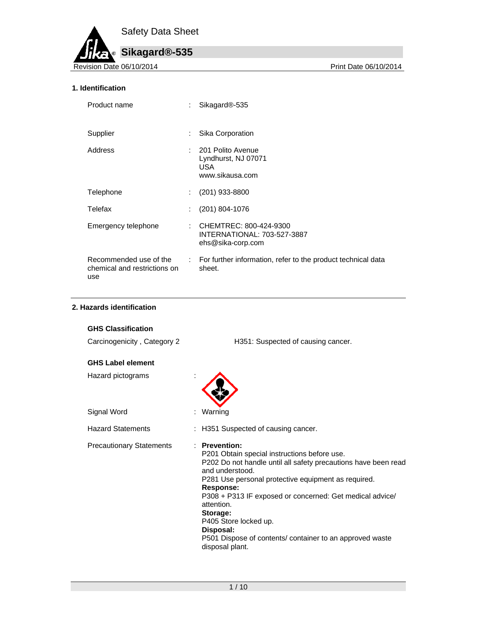

## **1. Identification**

| Product name                                                  |    | Sikagard <sup>®</sup> -535                                                          |
|---------------------------------------------------------------|----|-------------------------------------------------------------------------------------|
| Supplier                                                      | ÷  | Sika Corporation                                                                    |
| Address                                                       |    | : 201 Polito Avenue<br>Lyndhurst, NJ 07071<br><b>USA</b><br>www.sikausa.com         |
| Telephone                                                     | ÷. | $(201)$ 933-8800                                                                    |
| Telefax                                                       | ÷  | (201) 804-1076                                                                      |
| Emergency telephone                                           |    | : CHEMTREC: 800-424-9300<br><b>INTERNATIONAL: 703-527-3887</b><br>ehs@sika-corp.com |
| Recommended use of the<br>chemical and restrictions on<br>use |    | : For further information, refer to the product technical data<br>sheet.            |

## **2. Hazards identification**

| <b>GHS Classification</b>       |                                                                                                                                                                                                                                                                                                                                                                                                                                   |
|---------------------------------|-----------------------------------------------------------------------------------------------------------------------------------------------------------------------------------------------------------------------------------------------------------------------------------------------------------------------------------------------------------------------------------------------------------------------------------|
| Carcinogenicity, Category 2     | H351: Suspected of causing cancer.                                                                                                                                                                                                                                                                                                                                                                                                |
| <b>GHS Label element</b>        |                                                                                                                                                                                                                                                                                                                                                                                                                                   |
| Hazard pictograms               |                                                                                                                                                                                                                                                                                                                                                                                                                                   |
| Signal Word                     | Warning                                                                                                                                                                                                                                                                                                                                                                                                                           |
| <b>Hazard Statements</b>        | H351 Suspected of causing cancer.                                                                                                                                                                                                                                                                                                                                                                                                 |
| <b>Precautionary Statements</b> | · Prevention:<br>P201 Obtain special instructions before use.<br>P202 Do not handle until all safety precautions have been read<br>and understood.<br>P281 Use personal protective equipment as required.<br>Response:<br>P308 + P313 IF exposed or concerned: Get medical advice/<br>attention.<br>Storage:<br>P405 Store locked up.<br>Disposal:<br>P501 Dispose of contents/ container to an approved waste<br>disposal plant. |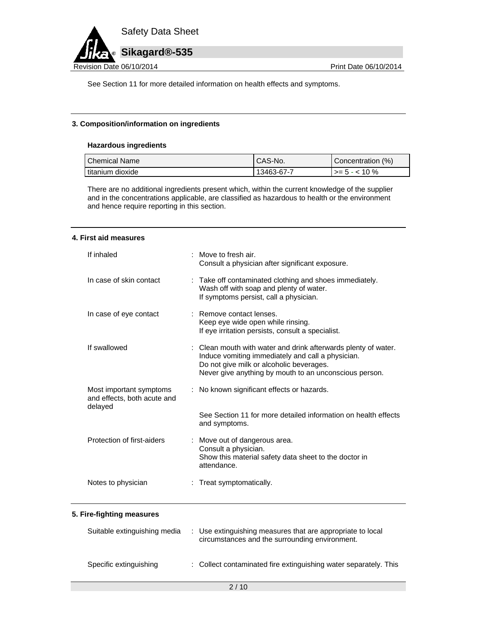

See Section 11 for more detailed information on health effects and symptoms.

## **3. Composition/information on ingredients**

## **Hazardous ingredients**

| Chemical Name      | CAS-No.    | Concentration (%)          |
|--------------------|------------|----------------------------|
| l titanium dioxide | 13463-67-7 | $\rightarrow$ = 5 - < 10 % |

There are no additional ingredients present which, within the current knowledge of the supplier and in the concentrations applicable, are classified as hazardous to health or the environment and hence require reporting in this section.

#### **4. First aid measures**

| If inhaled                                                        | : Move to fresh air.<br>Consult a physician after significant exposure.                                                                                                                                                   |
|-------------------------------------------------------------------|---------------------------------------------------------------------------------------------------------------------------------------------------------------------------------------------------------------------------|
| In case of skin contact                                           | : Take off contaminated clothing and shoes immediately.<br>Wash off with soap and plenty of water.<br>If symptoms persist, call a physician.                                                                              |
| In case of eye contact                                            | : Remove contact lenses.<br>Keep eye wide open while rinsing.<br>If eye irritation persists, consult a specialist.                                                                                                        |
| If swallowed                                                      | : Clean mouth with water and drink afterwards plenty of water.<br>Induce vomiting immediately and call a physician.<br>Do not give milk or alcoholic beverages.<br>Never give anything by mouth to an unconscious person. |
| Most important symptoms<br>and effects, both acute and<br>delayed | : No known significant effects or hazards.                                                                                                                                                                                |
|                                                                   | See Section 11 for more detailed information on health effects<br>and symptoms.                                                                                                                                           |
| Protection of first-aiders                                        | : Move out of dangerous area.<br>Consult a physician.<br>Show this material safety data sheet to the doctor in<br>attendance.                                                                                             |
| Notes to physician                                                | : Treat symptomatically.                                                                                                                                                                                                  |

#### **5. Fire-fighting measures**

| Suitable extinguishing media | : Use extinguishing measures that are appropriate to local<br>circumstances and the surrounding environment. |
|------------------------------|--------------------------------------------------------------------------------------------------------------|
| Specific extinguishing       | : Collect contaminated fire extinguishing water separately. This                                             |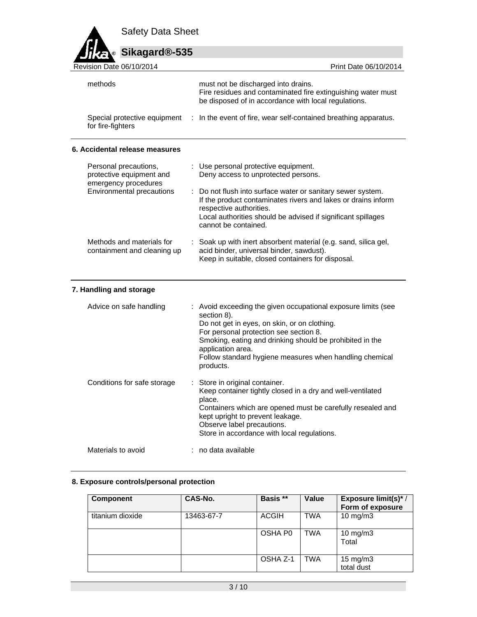

| Revision Date 06/10/2014       | Print Date 06/10/2014                                                                                                                                       |
|--------------------------------|-------------------------------------------------------------------------------------------------------------------------------------------------------------|
| methods                        | must not be discharged into drains.<br>Fire residues and contaminated fire extinguishing water must<br>be disposed of in accordance with local regulations. |
| for fire-fighters              | Special protective equipment : In the event of fire, wear self-contained breathing apparatus.                                                               |
| 6. Accidental release measures |                                                                                                                                                             |

| Personal precautions,<br>protective equipment and<br>emergency procedures | : Use personal protective equipment.<br>Deny access to unprotected persons.                                                                                                                                                                     |
|---------------------------------------------------------------------------|-------------------------------------------------------------------------------------------------------------------------------------------------------------------------------------------------------------------------------------------------|
| Environmental precautions                                                 | : Do not flush into surface water or sanitary sewer system.<br>If the product contaminates rivers and lakes or drains inform<br>respective authorities.<br>Local authorities should be advised if significant spillages<br>cannot be contained. |
| Methods and materials for<br>containment and cleaning up                  | : Soak up with inert absorbent material (e.g. sand, silica gel,<br>acid binder, universal binder, sawdust).<br>Keep in suitable, closed containers for disposal.                                                                                |

# **7. Handling and storage**

| Advice on safe handling     | : Avoid exceeding the given occupational exposure limits (see<br>section 8).<br>Do not get in eyes, on skin, or on clothing.<br>For personal protection see section 8.<br>Smoking, eating and drinking should be prohibited in the<br>application area.<br>Follow standard hygiene measures when handling chemical<br>products. |
|-----------------------------|---------------------------------------------------------------------------------------------------------------------------------------------------------------------------------------------------------------------------------------------------------------------------------------------------------------------------------|
| Conditions for safe storage | : Store in original container.<br>Keep container tightly closed in a dry and well-ventilated<br>place.<br>Containers which are opened must be carefully resealed and<br>kept upright to prevent leakage.<br>Observe label precautions.<br>Store in accordance with local regulations.                                           |
| Materials to avoid          | : no data available                                                                                                                                                                                                                                                                                                             |

## **8. Exposure controls/personal protection**

| <b>Component</b> | CAS-No.    | Basis **            | Value | Exposure limit(s)*/<br>Form of exposure |
|------------------|------------|---------------------|-------|-----------------------------------------|
| titanium dioxide | 13463-67-7 | <b>ACGIH</b>        | TWA   | $10$ mg/m $3$                           |
|                  |            | OSHA P <sub>0</sub> | TWA   | 10 $mg/m3$<br>Total                     |
|                  |            | OSHA Z-1            | TWA   | $15 \text{ mg/m}$<br>total dust         |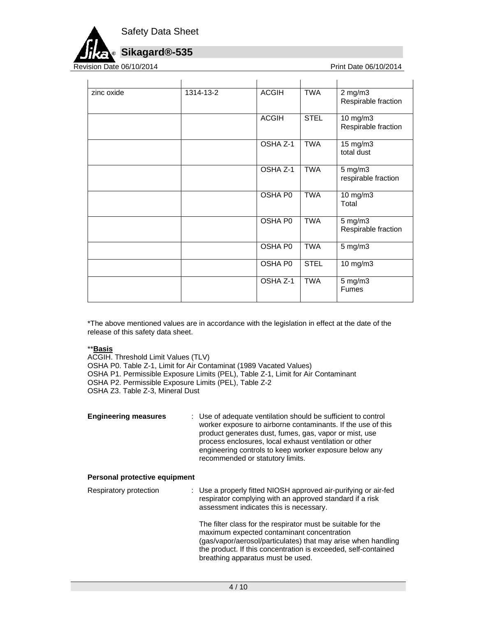

Revision Date 06/10/2014 **Print Date 06/10/2014** Print Date 06/10/2014

| zinc oxide | 1314-13-2 | <b>ACGIH</b> | <b>TWA</b>  | $2$ mg/m $3$<br>Respirable fraction |
|------------|-----------|--------------|-------------|-------------------------------------|
|            |           | <b>ACGIH</b> | <b>STEL</b> | 10 mg/m3<br>Respirable fraction     |
|            |           | OSHA Z-1     | <b>TWA</b>  | 15 mg/m3<br>total dust              |
|            |           | OSHA Z-1     | <b>TWA</b>  | $5$ mg/m $3$<br>respirable fraction |
|            |           | OSHA P0      | TWA         | 10 mg/m3<br>Total                   |
|            |           | OSHA P0      | <b>TWA</b>  | $5$ mg/m $3$<br>Respirable fraction |
|            |           | OSHA P0      | <b>TWA</b>  | $5$ mg/m $3$                        |
|            |           | OSHA P0      | <b>STEL</b> | 10 mg/m3                            |
|            |           | OSHA Z-1     | <b>TWA</b>  | 5 mg/m3<br><b>Fumes</b>             |

\*The above mentioned values are in accordance with the legislation in effect at the date of the release of this safety data sheet.

#### \*\***Basis**

ACGIH. Threshold Limit Values (TLV) OSHA P0. Table Z-1, Limit for Air Contaminat (1989 Vacated Values) OSHA P1. Permissible Exposure Limits (PEL), Table Z-1, Limit for Air Contaminant OSHA P2. Permissible Exposure Limits (PEL), Table Z-2 OSHA Z3. Table Z-3, Mineral Dust

| <b>Engineering measures</b>   | : Use of adequate ventilation should be sufficient to control<br>worker exposure to airborne contaminants. If the use of this<br>product generates dust, fumes, gas, vapor or mist, use<br>process enclosures, local exhaust ventilation or other<br>engineering controls to keep worker exposure below any<br>recommended or statutory limits. |
|-------------------------------|-------------------------------------------------------------------------------------------------------------------------------------------------------------------------------------------------------------------------------------------------------------------------------------------------------------------------------------------------|
| Personal protective equipment |                                                                                                                                                                                                                                                                                                                                                 |
| Respiratory protection        | : Use a properly fitted NIOSH approved air-purifying or air-fed<br>respirator complying with an approved standard if a risk<br>assessment indicates this is necessary.                                                                                                                                                                          |

The filter class for the respirator must be suitable for the maximum expected contaminant concentration (gas/vapor/aerosol/particulates) that may arise when handling the product. If this concentration is exceeded, self-contained breathing apparatus must be used.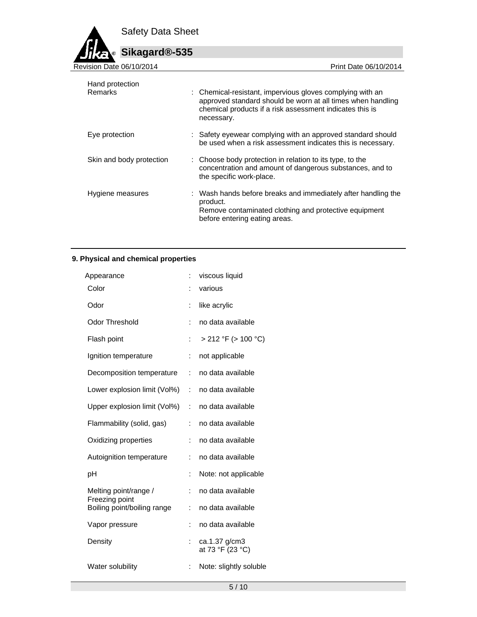Safety Data Sheet



| Hand protection<br>Remarks | : Chemical-resistant, impervious gloves complying with an<br>approved standard should be worn at all times when handling<br>chemical products if a risk assessment indicates this is<br>necessary. |
|----------------------------|----------------------------------------------------------------------------------------------------------------------------------------------------------------------------------------------------|
| Eye protection             | : Safety eyewear complying with an approved standard should<br>be used when a risk assessment indicates this is necessary.                                                                         |
| Skin and body protection   | : Choose body protection in relation to its type, to the<br>concentration and amount of dangerous substances, and to<br>the specific work-place.                                                   |
| Hygiene measures           | : Wash hands before breaks and immediately after handling the<br>product.<br>Remove contaminated clothing and protective equipment<br>before entering eating areas.                                |

# **9. Physical and chemical properties**

| Appearance                              |                | viscous liquid                    |
|-----------------------------------------|----------------|-----------------------------------|
| Color                                   |                | various                           |
| Odor                                    | t              | like acrylic                      |
| Odor Threshold                          | $\ddot{\cdot}$ | no data available                 |
| Flash point                             | ÷              | $> 212$ °F ( $> 100$ °C)          |
| Ignition temperature                    | ÷              | not applicable                    |
| Decomposition temperature               | ÷              | no data available                 |
| Lower explosion limit (Vol%)            | ÷              | no data available                 |
| Upper explosion limit (Vol%)            | $\ddot{\cdot}$ | no data available                 |
| Flammability (solid, gas)               | ÷              | no data available                 |
| Oxidizing properties                    | ÷              | no data available                 |
| Autoignition temperature                | ÷              | no data available                 |
| рH                                      | İ.             | Note: not applicable              |
| Melting point/range /<br>Freezing point | t              | no data available                 |
| Boiling point/boiling range             | t              | no data available                 |
| Vapor pressure                          | t              | no data available                 |
| Density                                 | t              | ca.1.37 g/cm3<br>at 73 °F (23 °C) |
| Water solubility                        | :              | Note: slightly soluble            |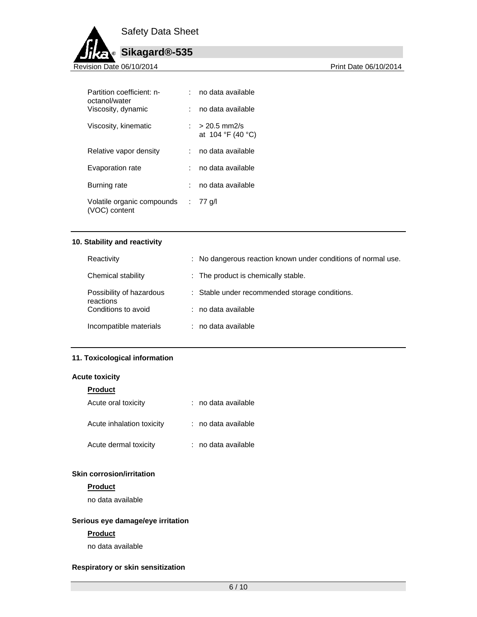Safety Data Sheet



| Partition coefficient: n-<br>octanol/water  | no data available                       |
|---------------------------------------------|-----------------------------------------|
| Viscosity, dynamic                          | no data available                       |
| Viscosity, kinematic                        | $: > 20.5$ mm2/s<br>at $104 °F$ (40 °C) |
| Relative vapor density                      | no data available                       |
| Evaporation rate                            | no data available                       |
| Burning rate                                | no data available                       |
| Volatile organic compounds<br>(VOC) content | $: 77$ g/l                              |

## **10. Stability and reactivity**

| Reactivity                            | : No dangerous reaction known under conditions of normal use. |
|---------------------------------------|---------------------------------------------------------------|
| Chemical stability                    | : The product is chemically stable.                           |
| Possibility of hazardous<br>reactions | : Stable under recommended storage conditions.                |
| Conditions to avoid                   | : no data available                                           |
| Incompatible materials                | : no data available                                           |

#### **11. Toxicological information**

#### **Acute toxicity**

| <b>Product</b>            |                     |
|---------------------------|---------------------|
| Acute oral toxicity       | : no data available |
| Acute inhalation toxicity | : no data available |
| Acute dermal toxicity     | : no data available |

#### **Skin corrosion/irritation**

#### **Product**

no data available

## **Serious eye damage/eye irritation**

## **Product**

no data available

## **Respiratory or skin sensitization**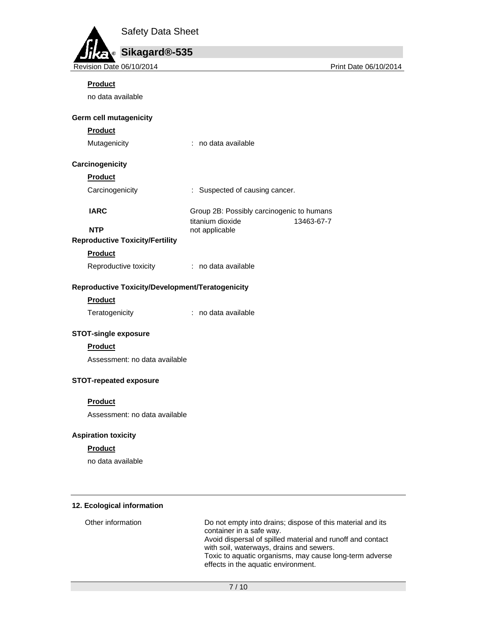

## **Product**

no data available

#### **Germ cell mutagenicity**

## **Product**

| Mutagenicity |  | no data available |
|--------------|--|-------------------|
|--------------|--|-------------------|

## **Carcinogenicity**

## **Product**

Carcinogenicity : Suspected of causing cancer.

**IARC** Group 2B: Possibly carcinogenic to humans titanium dioxide 13463-67-7

## **NTP** not applicable **Reproductive Toxicity/Fertility**

# **Product**

Reproductive toxicity : no data available

## **Reproductive Toxicity/Development/Teratogenicity**

#### **Product**

Teratogenicity **interest and interest and interest and interest and interest and interest and interest and interest** 

## **STOT-single exposure**

# **Product**

Assessment: no data available

## **STOT-repeated exposure**

#### **Product**

Assessment: no data available

# **Aspiration toxicity**

#### **Product**

no data available

## **12. Ecological information**

| Other information | Do not empty into drains; dispose of this material and its<br>container in a safe way.<br>Avoid dispersal of spilled material and runoff and contact<br>with soil, waterways, drains and sewers.<br>Toxic to aquatic organisms, may cause long-term adverse<br>effects in the aquatic environment. |
|-------------------|----------------------------------------------------------------------------------------------------------------------------------------------------------------------------------------------------------------------------------------------------------------------------------------------------|
|                   |                                                                                                                                                                                                                                                                                                    |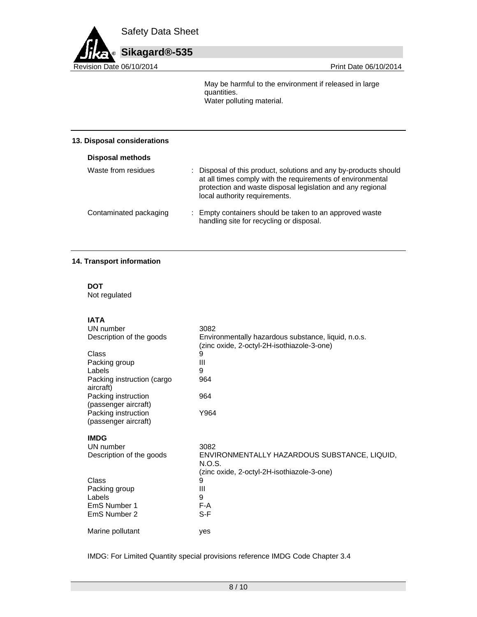

May be harmful to the environment if released in large quantities. Water polluting material.

#### **13. Disposal considerations**

| <b>Disposal methods</b> |                                                                                                                                                                                                                             |
|-------------------------|-----------------------------------------------------------------------------------------------------------------------------------------------------------------------------------------------------------------------------|
| Waste from residues     | Disposal of this product, solutions and any by-products should<br>at all times comply with the requirements of environmental<br>protection and waste disposal legislation and any regional<br>local authority requirements. |
| Contaminated packaging  | : Empty containers should be taken to an approved waste<br>handling site for recycling or disposal.                                                                                                                         |

#### **14. Transport information**

**DOT**  Not regulated

**IATA** 

| UN number                                   | 3082                                                                                              |
|---------------------------------------------|---------------------------------------------------------------------------------------------------|
| Description of the goods                    | Environmentally hazardous substance, liquid, n.o.s.<br>(zinc oxide, 2-octyl-2H-isothiazole-3-one) |
| Class                                       | 9                                                                                                 |
| Packing group                               | Ш                                                                                                 |
| Labels                                      | 9                                                                                                 |
| Packing instruction (cargo<br>aircraft)     | 964                                                                                               |
| Packing instruction<br>(passenger aircraft) | 964                                                                                               |
| Packing instruction<br>(passenger aircraft) | Y964                                                                                              |
| <b>IMDG</b>                                 |                                                                                                   |
| UN number                                   | 3082                                                                                              |
| Description of the goods                    | ENVIRONMENTALLY HAZARDOUS SUBSTANCE, LIQUID,<br>N.O.S.                                            |
|                                             | (zinc oxide, 2-octyl-2H-isothiazole-3-one)                                                        |
| Class                                       | 9                                                                                                 |
| Packing group                               | Ш                                                                                                 |
| Labels                                      | 9                                                                                                 |
| EmS Number 1                                | F-A                                                                                               |
| EmS Number 2                                | S-F                                                                                               |
| Marine pollutant                            | yes                                                                                               |

IMDG: For Limited Quantity special provisions reference IMDG Code Chapter 3.4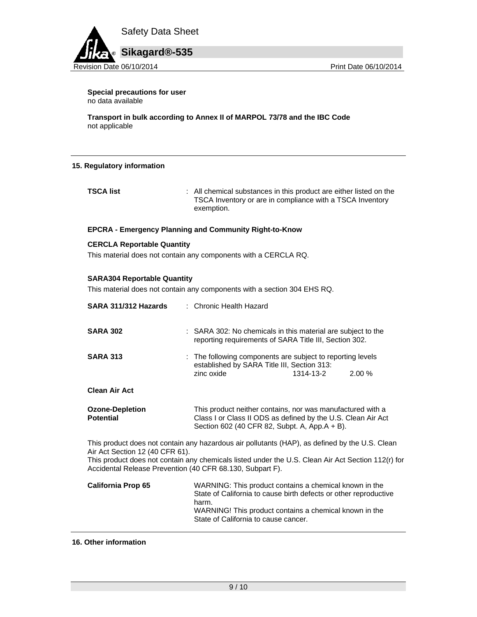

**Special precautions for user** no data available

**Transport in bulk according to Annex II of MARPOL 73/78 and the IBC Code**  not applicable

#### **15. Regulatory information**

**TSCA list** : All chemical substances in this product are either listed on the TSCA Inventory or are in compliance with a TSCA Inventory exemption.

#### **EPCRA - Emergency Planning and Community Right-to-Know**

#### **CERCLA Reportable Quantity**

This material does not contain any components with a CERCLA RQ.

#### **SARA304 Reportable Quantity**

This material does not contain any components with a section 304 EHS RQ.

| SARA 311/312 Hazards                                                                         | : Chronic Health Hazard                                                                                                                                                                                                               |
|----------------------------------------------------------------------------------------------|---------------------------------------------------------------------------------------------------------------------------------------------------------------------------------------------------------------------------------------|
| <b>SARA 302</b>                                                                              | : SARA 302: No chemicals in this material are subject to the<br>reporting requirements of SARA Title III, Section 302.                                                                                                                |
| <b>SARA 313</b>                                                                              | : The following components are subject to reporting levels<br>established by SARA Title III, Section 313:<br>1314-13-2<br>zinc oxide<br>2.00%                                                                                         |
| <b>Clean Air Act</b>                                                                         |                                                                                                                                                                                                                                       |
| <b>Ozone-Depletion</b><br><b>Potential</b>                                                   | This product neither contains, nor was manufactured with a<br>Class I or Class II ODS as defined by the U.S. Clean Air Act<br>Section 602 (40 CFR 82, Subpt. A, App.A + B).                                                           |
| Air Act Section 12 (40 CFR 61).<br>Accidental Release Prevention (40 CFR 68.130, Subpart F). | This product does not contain any hazardous air pollutants (HAP), as defined by the U.S. Clean<br>This product does not contain any chemicals listed under the U.S. Clean Air Act Section 112(r) for                                  |
| <b>California Prop 65</b>                                                                    | WARNING: This product contains a chemical known in the<br>State of California to cause birth defects or other reproductive<br>harm.<br>WARNING! This product contains a chemical known in the<br>State of California to cause cancer. |

#### **16. Other information**